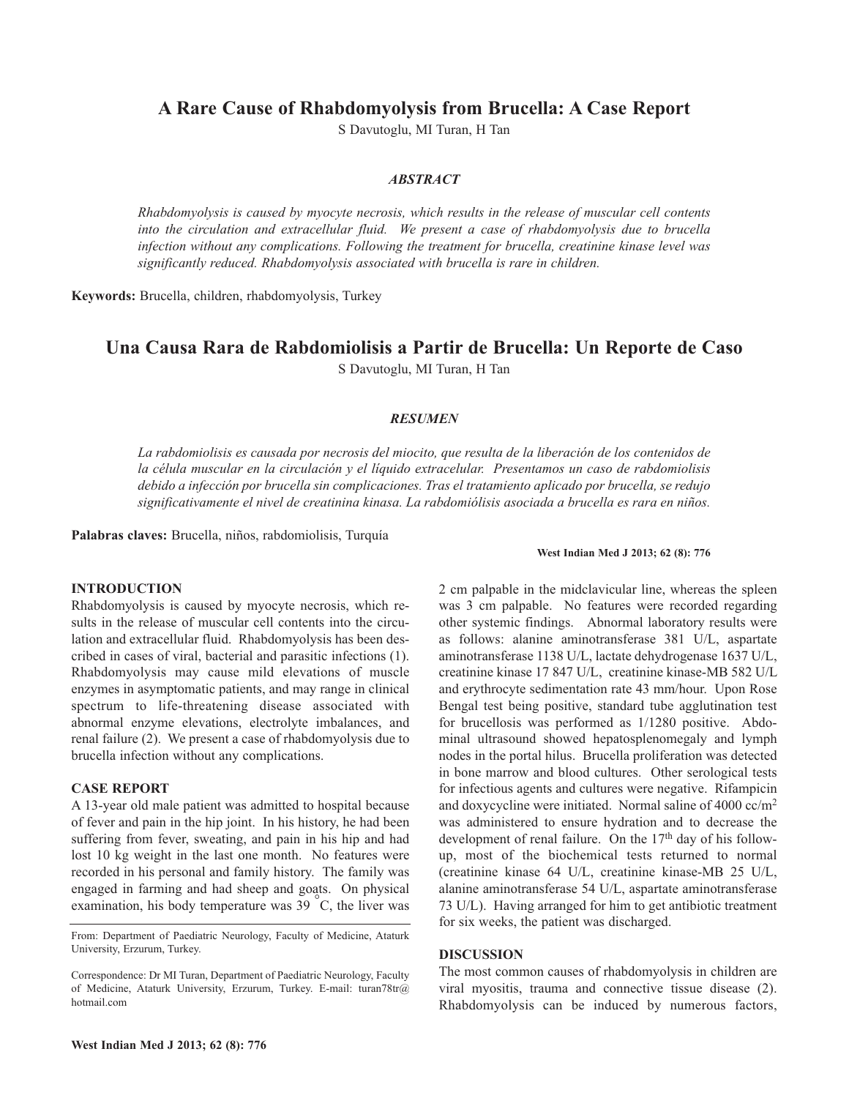**A Rare Cause of Rhabdomyolysis from Brucella: A Case Report**

S Davutoglu, MI Turan, H Tan

## *ABSTRACT*

*Rhabdomyolysis is caused by myocyte necrosis, which results in the release of muscular cell contents into the circulation and extracellular fluid. We present a case of rhabdomyolysis due to brucella infection without any complications. Following the treatment for brucella, creatinine kinase level was significantly reduced. Rhabdomyolysis associated with brucella is rare in children.*

**Keywords:** Brucella, children, rhabdomyolysis, Turkey

# **Una Causa Rara de Rabdomiolisis a Partir de Brucella: Un Reporte de Caso**

S Davutoglu, MI Turan, H Tan

## *RESUMEN*

*La rabdomiolisis es causada por necrosis del miocito, que resulta de la liberación de los contenidos de la célula muscular en la circulación y el líquido extracelular. Presentamos un caso de rabdomiolisis debido a infección por brucella sin complicaciones. Tras el tratamiento aplicado por brucella, se redujo significativamente el nivel de creatinina kinasa. La rabdomiólisis asociada a brucella es rara en niños.*

**Palabras claves:** Brucella, niños, rabdomiolisis, Turquía

#### **West Indian Med J 2013; 62 (8): 776**

### **INTRODUCTION**

Rhabdomyolysis is caused by myocyte necrosis, which results in the release of muscular cell contents into the circulation and extracellular fluid. Rhabdomyolysis has been described in cases of viral, bacterial and parasitic infections (1). Rhabdomyolysis may cause mild elevations of muscle enzymes in asymptomatic patients, and may range in clinical spectrum to life-threatening disease associated with abnormal enzyme elevations, electrolyte imbalances, and renal failure (2). We present a case of rhabdomyolysis due to brucella infection without any complications.

#### **CASE REPORT**

A 13-year old male patient was admitted to hospital because of fever and pain in the hip joint. In his history, he had been suffering from fever, sweating, and pain in his hip and had lost 10 kg weight in the last one month. No features were recorded in his personal and family history. The family was engaged in farming and had sheep and goats. On physical examination, his body temperature was  $\overline{39}^{\circ}$ C, the liver was

From: Department of Paediatric Neurology, Faculty of Medicine, Ataturk University, Erzurum, Turkey.

Correspondence: Dr MI Turan, Department of Paediatric Neurology, Faculty of Medicine, Ataturk University, Erzurum, Turkey. E-mail: turan78tr@ hotmail.com

2 cm palpable in the midclavicular line, whereas the spleen was 3 cm palpable. No features were recorded regarding other systemic findings. Abnormal laboratory results were as follows: alanine aminotransferase 381 U/L, aspartate aminotransferase 1138 U/L, lactate dehydrogenase 1637 U/L, creatinine kinase 17 847 U/L, creatinine kinase-MB 582 U/L and erythrocyte sedimentation rate 43 mm/hour. Upon Rose Bengal test being positive, standard tube agglutination test for brucellosis was performed as 1/1280 positive. Abdominal ultrasound showed hepatosplenomegaly and lymph nodes in the portal hilus. Brucella proliferation was detected in bone marrow and blood cultures. Other serological tests for infectious agents and cultures were negative. Rifampicin and doxycycline were initiated. Normal saline of 4000 cc/m2 was administered to ensure hydration and to decrease the development of renal failure. On the 17<sup>th</sup> day of his followup, most of the biochemical tests returned to normal (creatinine kinase 64 U/L, creatinine kinase-MB 25 U/L, alanine aminotransferase 54 U/L, aspartate aminotransferase 73 U/L). Having arranged for him to get antibiotic treatment for six weeks, the patient was discharged.

#### **DISCUSSION**

The most common causes of rhabdomyolysis in children are viral myositis, trauma and connective tissue disease (2). Rhabdomyolysis can be induced by numerous factors,